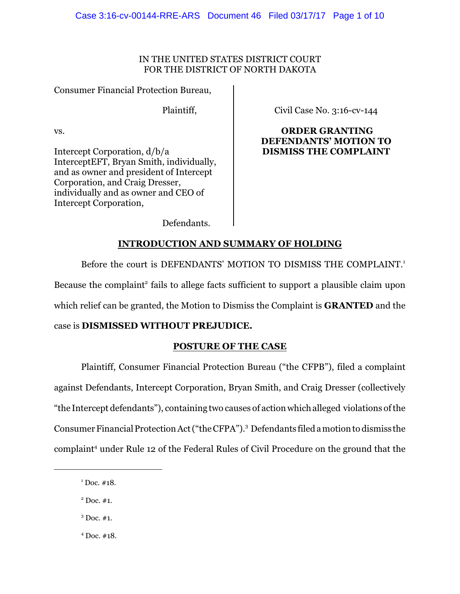## IN THE UNITED STATES DISTRICT COURT FOR THE DISTRICT OF NORTH DAKOTA

Consumer Financial Protection Bureau,

Plaintiff,

vs.

Intercept Corporation, d/b/a InterceptEFT, Bryan Smith, individually, and as owner and president of Intercept Corporation, and Craig Dresser, individually and as owner and CEO of Intercept Corporation,

Civil Case No. 3:16-cv-144

 **ORDER GRANTING DEFENDANTS' MOTION TO DISMISS THE COMPLAINT**

Defendants.

# **INTRODUCTION AND SUMMARY OF HOLDING**

Before the court is DEFENDANTS' MOTION TO DISMISS THE COMPLAINT. 1 Because the complaint<sup>2</sup> fails to allege facts sufficient to support a plausible claim upon which relief can be granted, the Motion to Dismiss the Complaint is **GRANTED** and the

## case is **DISMISSED WITHOUT PREJUDICE.**

# **POSTURE OF THE CASE**

Plaintiff, Consumer Financial Protection Bureau ("the CFPB"), filed a complaint against Defendants, Intercept Corporation, Bryan Smith, and Craig Dresser (collectively "the Intercept defendants"), containing two causes of action which alleged violations ofthe Consumer Financial Protection Act("the CFPA"). <sup>3</sup> Defendants filed amotion to dismiss the complaint<sup>4</sup> under Rule 12 of the Federal Rules of Civil Procedure on the ground that the

- $3$  Doc.  $#1$ .
- $4$  Doc.  $\#18$ .

 $1$  Doc. #18.

 $2^2$  Doc. #1.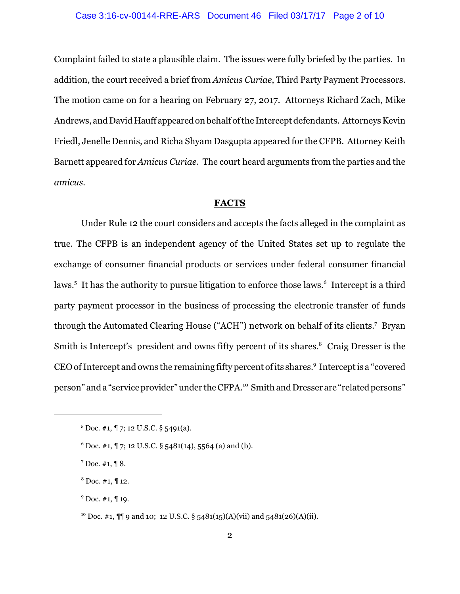#### Case 3:16-cv-00144-RRE-ARS Document 46 Filed 03/17/17 Page 2 of 10

Complaint failed to state a plausible claim. The issues were fully briefed by the parties. In addition, the court received a brief from *Amicus Curiae*, Third Party Payment Processors. The motion came on for a hearing on February 27, 2017. Attorneys Richard Zach, Mike Andrews, and David Hauff appeared on behalf ofthe Interceptdefendants. Attorneys Kevin Friedl, Jenelle Dennis, and Richa Shyam Dasgupta appeared for the CFPB. Attorney Keith Barnett appeared for *Amicus Curiae*. The court heard arguments from the parties and the *amicus.*

### **FACTS**

Under Rule 12 the court considers and accepts the facts alleged in the complaint as true. The CFPB is an independent agency of the United States set up to regulate the exchange of consumer financial products or services under federal consumer financial laws.<sup>5</sup> It has the authority to pursue litigation to enforce those laws.<sup>6</sup> Intercept is a third party payment processor in the business of processing the electronic transfer of funds through the Automated Clearing House ("ACH") network on behalf of its clients.<sup>7</sup> Bryan Smith is Intercept's president and owns fifty percent of its shares.<sup>8</sup> Craig Dresser is the CEO of Intercept and owns the remaining fifty percent of its shares.<sup>9</sup> Intercept is a "covered person" and a "service provider"under the CFPA.<sup>10</sup> Smith and Dresser are "related persons"

 $5$  Doc. #1,  $\sqrt{7}$ ; 12 U.S.C. § 5491(a).

 $6$  Doc. #1, ¶ 7; 12 U.S.C. § 5481(14), 5564 (a) and (b).

 $7$  Doc. #1, ¶ 8.

 $8\,$  Doc. #1, ¶ 12.

 $9^9$  Doc. #1, ¶ 19.

<sup>&</sup>lt;sup>10</sup> Doc. #1,  $\P\P$  9 and 10; 12 U.S.C. § 5481(15)(A)(vii) and 5481(26)(A)(ii).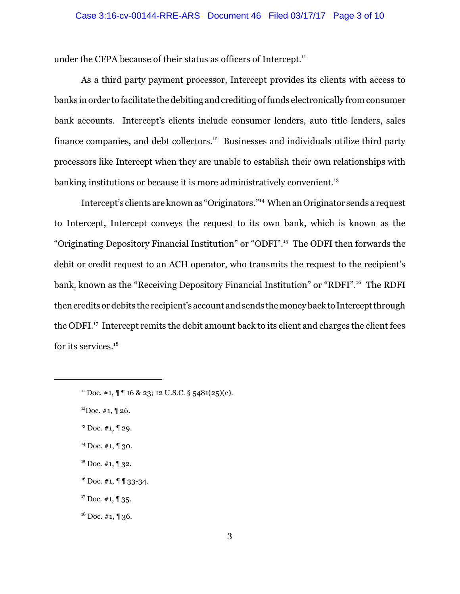under the CFPA because of their status as officers of Intercept.<sup>11</sup>

As a third party payment processor, Intercept provides its clients with access to banks in order to facilitate the debiting and crediting offunds electronically from consumer bank accounts. Intercept's clients include consumer lenders, auto title lenders, sales finance companies, and debt collectors.<sup>12</sup> Businesses and individuals utilize third party processors like Intercept when they are unable to establish their own relationships with banking institutions or because it is more administratively convenient.<sup>13</sup>

Intercept's clients are known as "Originators."<sup>14</sup> When an Originator sends a request to Intercept, Intercept conveys the request to its own bank, which is known as the "Originating Depository Financial Institution" or "ODFI".<sup>15</sup> The ODFI then forwards the debit or credit request to an ACH operator, who transmits the request to the recipient's bank, known as the "Receiving Depository Financial Institution" or "RDFI".<sup>16</sup> The RDFI then credits or debits the recipient's account and sends the money back to Intercept through the ODFI.<sup>17</sup> Intercept remits the debit amount back to its client and charges the client fees for its services.<sup>18</sup>

 $11$  Doc. #1,  $\P$   $\P$  16 & 23; 12 U.S.C. § 5481(25)(c).

 $12$ Doc. #1,  $\P$  26.

 $13$  Doc. #1, ¶ 29.

 $14$  Doc. #1, ¶ 30.

 $15$  Doc. #1, ¶ 32.

<sup>&</sup>lt;sup>16</sup> Doc. #1, ¶ ¶ 33-34.

 $17$  Doc. #1, ¶ 35.

 $18$  Doc. #1, ¶ 36.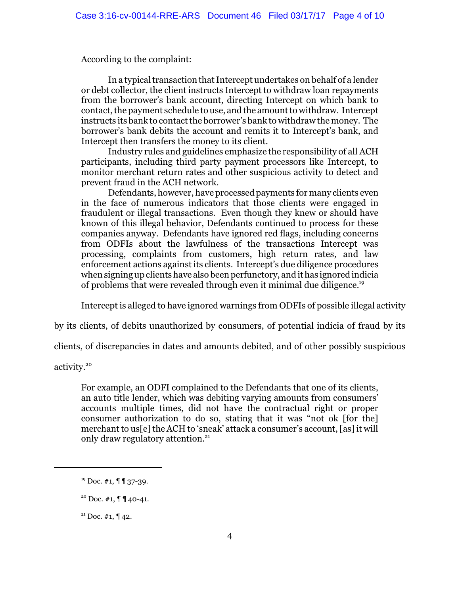According to the complaint:

In a typical transaction that Intercept undertakes on behalf of a lender or debt collector, the client instructs Intercept to withdraw loan repayments from the borrower's bank account, directing Intercept on which bank to contact, the payment schedule to use, and the amount to withdraw. Intercept instructs its bank to contact the borrower's bank to withdraw the money. The borrower's bank debits the account and remits it to Intercept's bank, and Intercept then transfers the money to its client.

Industry rules and guidelines emphasize the responsibility of all ACH participants, including third party payment processors like Intercept, to monitor merchant return rates and other suspicious activity to detect and prevent fraud in the ACH network.

Defendants, however, have processed payments for many clients even in the face of numerous indicators that those clients were engaged in fraudulent or illegal transactions. Even though they knew or should have known of this illegal behavior, Defendants continued to process for these companies anyway. Defendants have ignored red flags, including concerns from ODFIs about the lawfulness of the transactions Intercept was processing, complaints from customers, high return rates, and law enforcement actions againstits clients. Intercept's due diligence procedures when signing up clients have also been perfunctory, and it has ignored indicia of problems that were revealed through even it minimal due diligence.<sup>19</sup>

Intercept is alleged to have ignored warnings from ODFIs of possible illegal activity

by its clients, of debits unauthorized by consumers, of potential indicia of fraud by its

clients, of discrepancies in dates and amounts debited, and of other possibly suspicious

activity.<sup>20</sup>

For example, an ODFI complained to the Defendants that one of its clients, an auto title lender, which was debiting varying amounts from consumers' accounts multiple times, did not have the contractual right or proper consumer authorization to do so, stating that it was "not ok [for the] merchant to us[e] the ACH to 'sneak' attack a consumer's account, [as] it will only draw regulatory attention.<sup>21</sup>

 $19$  Doc. #1,  $\P$  1 37-39.

 $20$  Doc. #1,  $\P$   $\P$  40-41.

 $21$  Doc. #1,  $\P$  42.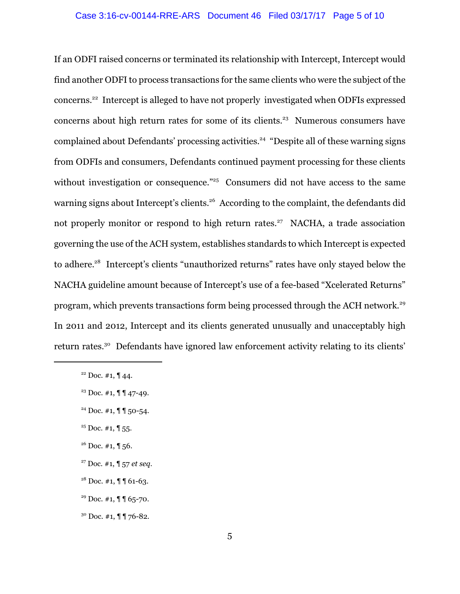# Case 3:16-cv-00144-RRE-ARS Document 46 Filed 03/17/17 Page 5 of 10

If an ODFI raised concerns or terminated its relationship with Intercept, Intercept would find another ODFI to process transactions for the same clients who were the subject of the concerns.<sup>22</sup> Intercept is alleged to have not properly investigated when ODFIs expressed concerns about high return rates for some of its clients. <sup>23</sup> Numerous consumers have complained about Defendants' processing activities.<sup>24</sup> "Despite all of these warning signs from ODFIs and consumers, Defendants continued payment processing for these clients without investigation or consequence."<sup>25</sup> Consumers did not have access to the same warning signs about Intercept's clients.<sup>26</sup> According to the complaint, the defendants did not properly monitor or respond to high return rates.<sup>27</sup> NACHA, a trade association governing the use of the ACH system, establishes standards to which Intercept is expected to adhere.<sup>28</sup> Intercept's clients "unauthorized returns" rates have only stayed below the NACHA guideline amount because of Intercept's use of a fee-based "Xcelerated Returns" program, which prevents transactions form being processed through the ACH network.<sup>29</sup> In 2011 and 2012, Intercept and its clients generated unusually and unacceptably high return rates.<sup>30</sup> Defendants have ignored law enforcement activity relating to its clients'

- $25$  Doc. #1,  $\P$  55.
- $26$  Doc. #1, ¶ 56.
- <sup>27</sup> Doc. #1, ¶ 57 *et seq.*

<sup>&</sup>lt;sup>22</sup> Doc. #1,  $\P$  44.

<sup>&</sup>lt;sup>23</sup> Doc. #1,  $\P\P$  47-49.

<sup>24</sup> Doc. #1, ¶ ¶ 50-54.

 $28$  Doc. #1,  $\P$   $\P$  61-63.

<sup>&</sup>lt;sup>29</sup> Doc. #1,  $\P$   $\int$  65-70.

 $30$  Doc. #1,  $\P$   $\P$  76-82.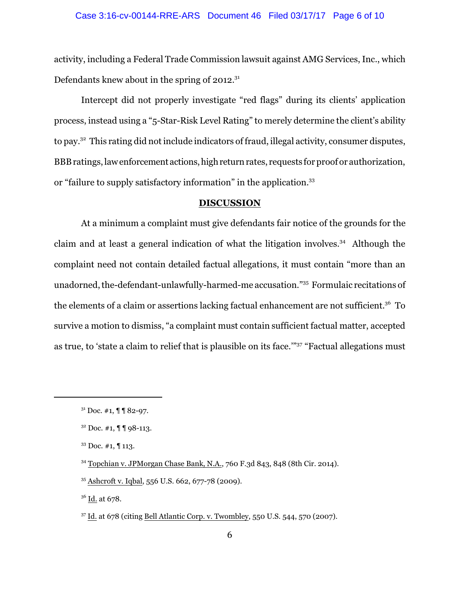#### Case 3:16-cv-00144-RRE-ARS Document 46 Filed 03/17/17 Page 6 of 10

activity, including a Federal Trade Commission lawsuit against AMG Services, Inc., which Defendants knew about in the spring of  $2012.^{31}$ 

Intercept did not properly investigate "red flags" during its clients' application process, instead using a "5-Star-Risk Level Rating" to merely determine the client's ability to pay.<sup>32</sup> This rating did not include indicators of fraud, illegal activity, consumer disputes, BBB ratings, law enforcement actions, high return rates, requests for proof or authorization, or "failure to supply satisfactory information" in the application.<sup>33</sup>

#### **DISCUSSION**

At a minimum a complaint must give defendants fair notice of the grounds for the claim and at least a general indication of what the litigation involves.<sup>34</sup> Although the complaint need not contain detailed factual allegations, it must contain "more than an unadorned, the-defendant-unlawfully-harmed-me accusation."<sup>35</sup> Formulaic recitations of the elements of a claim or assertions lacking factual enhancement are not sufficient. <sup>36</sup> To survive a motion to dismiss, "a complaint must contain sufficient factual matter, accepted as true, to 'state a claim to relief that is plausible on its face.'"<sup>37</sup> "Factual allegations must

 $31$  Doc. #1,  $\P$   $\P$  82-97.

 $32$  Doc. #1,  $\P$   $\P$  98-113.

 $33$  Doc. #1,  $\P$  113.

<sup>34</sup> Topchian v. JPMorgan Chase Bank, N.A., 760 F.3d 843, 848 (8th Cir. 2014).

<sup>35</sup> Ashcroft v. Iqbal, 556 U.S. 662, 677-78 (2009).

<sup>&</sup>lt;sup>36</sup> Id. at 678.

<sup>37</sup> Id. at 678 (citing Bell Atlantic Corp. v. Twombley, 550 U.S. 544, 570 (2007).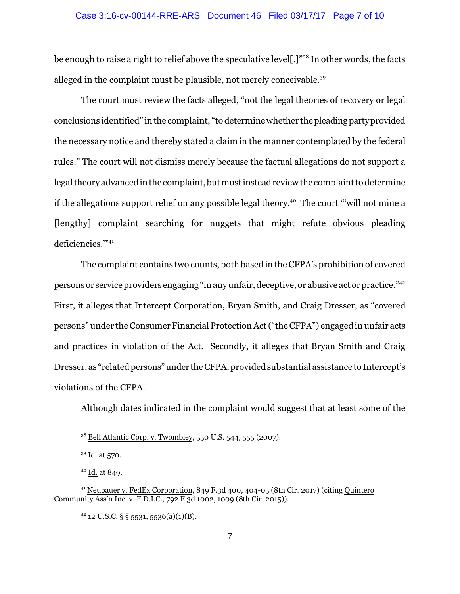# Case 3:16-cv-00144-RRE-ARS Document 46 Filed 03/17/17 Page 7 of 10

be enough to raise a right to relief above the speculative level[.]"<sup>38</sup> In other words, the facts alleged in the complaint must be plausible, not merely conceivable.<sup>39</sup>

The court must review the facts alleged, "not the legal theories of recovery or legal conclusions identified" in the complaint, "to determine whether the pleading party provided the necessary notice and thereby stated a claim in the manner contemplated by the federal rules." The court will not dismiss merely because the factual allegations do not support a legal theory advanced in the complaint, but must instead review the complaint to determine if the allegations support relief on any possible legal theory.<sup>40</sup> The court "will not mine a [lengthy] complaint searching for nuggets that might refute obvious pleading deficiencies."<sup>41</sup>

The complaint contains two counts, both based in the CFPA's prohibition of covered personsor service providers engaging "in any unfair, deceptive, or abusive act or practice."<sup>42</sup> First, it alleges that Intercept Corporation, Bryan Smith, and Craig Dresser, as "covered persons" under the Consumer Financial Protection Act("the CFPA") engaged in unfair acts and practices in violation of the Act. Secondly, it alleges that Bryan Smith and Craig Dresser, as "related persons"under theCFPA, provided substantial assistance to Intercept's violations of the CFPA.

Although dates indicated in the complaint would suggest that at least some of the

<sup>&</sup>lt;sup>38</sup> Bell Atlantic Corp. v. Twombley, 550 U.S. 544, 555 (2007).

<sup>39</sup> Id. at 570.

<sup>40</sup> Id. at 849.

<sup>41</sup> Neubauer v. FedEx Corporation, 849 F.3d 400, 404-05 (8th Cir. 2017) (citing Quintero Community Ass'n Inc. v. F.D.I.C., 792 F.3d 1002, 1009 (8th Cir. 2015)).

 $42$  12 U.S.C. § § 5531, 5536(a)(1)(B).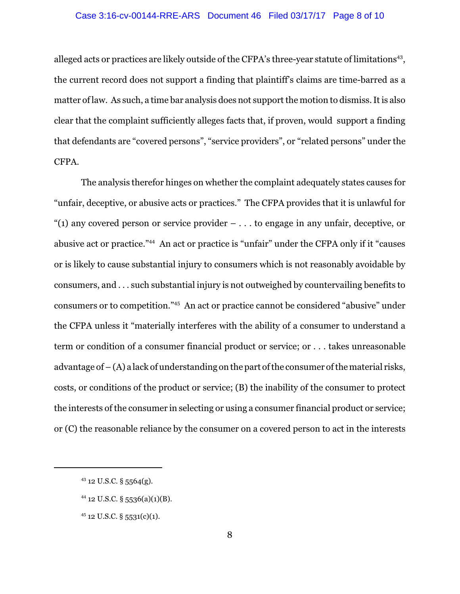#### Case 3:16-cv-00144-RRE-ARS Document 46 Filed 03/17/17 Page 8 of 10

alleged acts or practices are likely outside of the CFPA's three-year statute of limitations<sup>43</sup>, the current record does not support a finding that plaintiff's claims are time-barred as a matter of law. As such, a time bar analysis does not support the motion to dismiss. It is also clear that the complaint sufficiently alleges facts that, if proven, would support a finding that defendants are "covered persons", "service providers", or "related persons" under the CFPA.

The analysis therefor hinges on whether the complaint adequately states causes for "unfair, deceptive, or abusive acts or practices." The CFPA provides that it is unlawful for "(1) any covered person or service provider  $- \dots$  to engage in any unfair, deceptive, or abusive act or practice."<sup>44</sup> An act or practice is "unfair" under the CFPA only if it "causes or is likely to cause substantial injury to consumers which is not reasonably avoidable by consumers, and . . . such substantial injury is not outweighed by countervailing benefits to consumers or to competition."<sup>45</sup> An act or practice cannot be considered "abusive" under the CFPA unless it "materially interferes with the ability of a consumer to understand a term or condition of a consumer financial product or service; or . . . takes unreasonable advantage of  $-(A)$  a lack of understanding on the part of the consumer of the material risks, costs, or conditions of the product or service; (B) the inability of the consumer to protect the interests of the consumer in selecting or using a consumer financial product or service; or (C) the reasonable reliance by the consumer on a covered person to act in the interests

- $44$  12 U.S.C. § 5536(a)(1)(B).
- <sup>45</sup> 12 U.S.C. § 5531(c)(1).

 $43$  12 U.S.C. § 5564(g).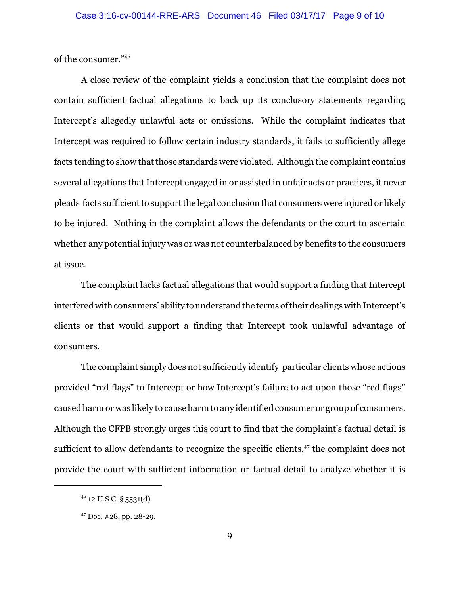of the consumer."<sup>46</sup>

A close review of the complaint yields a conclusion that the complaint does not contain sufficient factual allegations to back up its conclusory statements regarding Intercept's allegedly unlawful acts or omissions. While the complaint indicates that Intercept was required to follow certain industry standards, it fails to sufficiently allege facts tending to show that those standards were violated. Although the complaint contains several allegations that Intercept engaged in or assisted in unfair acts or practices, it never pleads facts sufficient to support the legal conclusion that consumers were injured or likely to be injured. Nothing in the complaint allows the defendants or the court to ascertain whether any potential injury was or was not counterbalanced by benefits to the consumers at issue.

The complaint lacks factual allegations that would support a finding that Intercept interfered with consumers' ability to understand the terms of their dealings with Intercept's clients or that would support a finding that Intercept took unlawful advantage of consumers.

The complaint simply does not sufficiently identify particular clients whose actions provided "red flags" to Intercept or how Intercept's failure to act upon those "red flags" caused harm or was likely to cause harm to any identified consumer or group of consumers. Although the CFPB strongly urges this court to find that the complaint's factual detail is sufficient to allow defendants to recognize the specific clients,<sup>47</sup> the complaint does not provide the court with sufficient information or factual detail to analyze whether it is

 $46$  12 U.S.C. § 5531(d).

<sup>47</sup> Doc. #28, pp. 28-29.